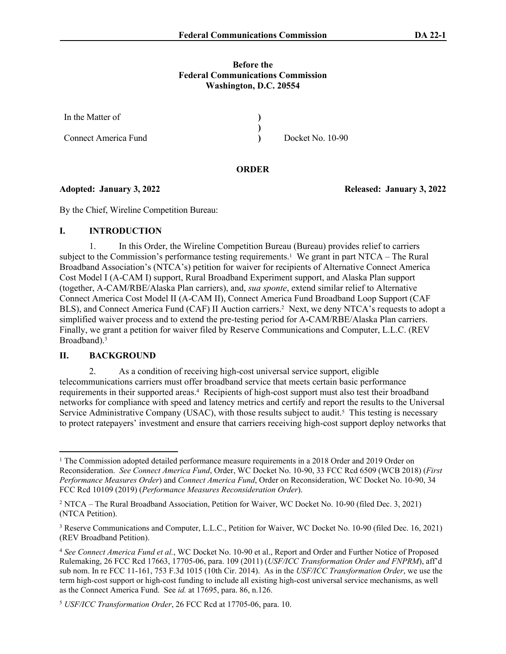## **Before the Federal Communications Commission Washington, D.C. 20554**

| In the Matter of            |                  |
|-----------------------------|------------------|
|                             |                  |
| <b>Connect America Fund</b> | Docket No. 10-90 |

### **ORDER**

By the Chief, Wireline Competition Bureau:

# **I. INTRODUCTION**

1. In this Order, the Wireline Competition Bureau (Bureau) provides relief to carriers subject to the Commission's performance testing requirements.<sup>1</sup> We grant in part NTCA – The Rural Broadband Association's (NTCA's) petition for waiver for recipients of Alternative Connect America Cost Model I (A-CAM I) support, Rural Broadband Experiment support, and Alaska Plan support (together, A-CAM/RBE/Alaska Plan carriers), and, *sua sponte*, extend similar relief to Alternative Connect America Cost Model II (A-CAM II), Connect America Fund Broadband Loop Support (CAF BLS), and Connect America Fund (CAF) II Auction carriers.<sup>2</sup> Next, we deny NTCA's requests to adopt a simplified waiver process and to extend the pre-testing period for A-CAM/RBE/Alaska Plan carriers. Finally, we grant a petition for waiver filed by Reserve Communications and Computer, L.L.C. (REV Broadband).<sup>3</sup>

## **II. BACKGROUND**

2. As a condition of receiving high-cost universal service support, eligible telecommunications carriers must offer broadband service that meets certain basic performance requirements in their supported areas.<sup>4</sup> Recipients of high-cost support must also test their broadband networks for compliance with speed and latency metrics and certify and report the results to the Universal Service Administrative Company (USAC), with those results subject to audit.<sup>5</sup> This testing is necessary to protect ratepayers' investment and ensure that carriers receiving high-cost support deploy networks that

**Adopted: January 3, 2022 Released: January 3, 2022**

<sup>&</sup>lt;sup>1</sup> The Commission adopted detailed performance measure requirements in a 2018 Order and 2019 Order on Reconsideration. *See Connect America Fund*, Order, WC Docket No. 10-90, 33 FCC Rcd 6509 (WCB 2018) (*First Performance Measures Order*) and *Connect America Fund*, Order on Reconsideration, WC Docket No. 10-90, 34 FCC Rcd 10109 (2019) (*Performance Measures Reconsideration Order*).

<sup>&</sup>lt;sup>2</sup> NTCA – The Rural Broadband Association, Petition for Waiver, WC Docket No. 10-90 (filed Dec. 3, 2021) (NTCA Petition).

<sup>&</sup>lt;sup>3</sup> Reserve Communications and Computer, L.L.C., Petition for Waiver, WC Docket No. 10-90 (filed Dec. 16, 2021) (REV Broadband Petition).

<sup>4</sup> *See Connect America Fund et al.*, WC Docket No. 10-90 et al., Report and Order and Further Notice of Proposed Rulemaking, 26 FCC Rcd 17663, 17705-06, para. 109 (2011) (*USF/ICC Transformation Order and FNPRM*), aff'd sub nom. In re FCC 11-161, 753 F.3d 1015 (10th Cir. 2014). As in the *USF/ICC Transformation Order*, we use the term high-cost support or high-cost funding to include all existing high-cost universal service mechanisms, as well as the Connect America Fund. See *id.* at 17695, para. 86, n.126.

<sup>5</sup> *USF/ICC Transformation Order*, 26 FCC Rcd at 17705-06, para. 10.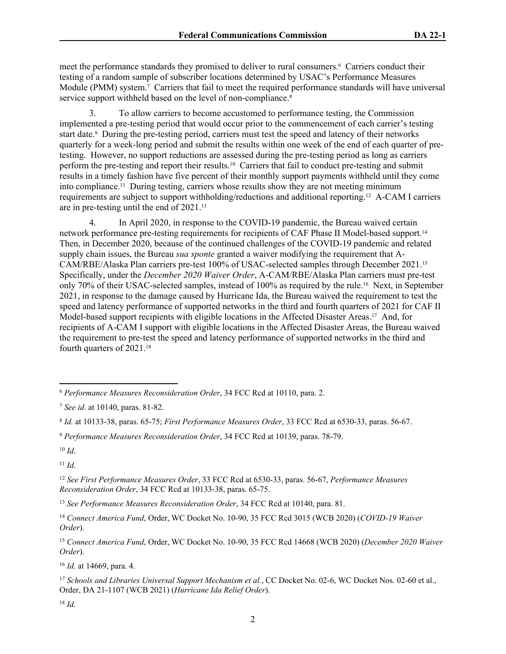meet the performance standards they promised to deliver to rural consumers.<sup>6</sup> Carriers conduct their testing of a random sample of subscriber locations determined by USAC's Performance Measures Module (PMM) system.<sup>7</sup> Carriers that fail to meet the required performance standards will have universal service support withheld based on the level of non-compliance.<sup>8</sup>

3. To allow carriers to become accustomed to performance testing, the Commission implemented a pre-testing period that would occur prior to the commencement of each carrier's testing start date.<sup>9</sup> During the pre-testing period, carriers must test the speed and latency of their networks quarterly for a week-long period and submit the results within one week of the end of each quarter of pretesting. However, no support reductions are assessed during the pre-testing period as long as carriers perform the pre-testing and report their results.10 Carriers that fail to conduct pre-testing and submit results in a timely fashion have five percent of their monthly support payments withheld until they come into compliance.11 During testing, carriers whose results show they are not meeting minimum requirements are subject to support withholding/reductions and additional reporting.12 A-CAM I carriers are in pre-testing until the end of 2021.<sup>13</sup>

4. In April 2020, in response to the COVID-19 pandemic, the Bureau waived certain network performance pre-testing requirements for recipients of CAF Phase II Model-based support.<sup>14</sup> Then, in December 2020, because of the continued challenges of the COVID-19 pandemic and related supply chain issues, the Bureau *sua sponte* granted a waiver modifying the requirement that A-CAM/RBE/Alaska Plan carriers pre-test 100% of USAC-selected samples through December 2021.<sup>15</sup> Specifically, under the *December 2020 Waiver Order*, A-CAM/RBE/Alaska Plan carriers must pre-test only 70% of their USAC-selected samples, instead of 100% as required by the rule.16 Next, in September 2021, in response to the damage caused by Hurricane Ida, the Bureau waived the requirement to test the speed and latency performance of supported networks in the third and fourth quarters of 2021 for CAF II Model-based support recipients with eligible locations in the Affected Disaster Areas.17 And, for recipients of A-CAM I support with eligible locations in the Affected Disaster Areas, the Bureau waived the requirement to pre-test the speed and latency performance of supported networks in the third and fourth quarters of 2021.<sup>18</sup>

<sup>10</sup> *Id*.

<sup>11</sup> *Id*.

<sup>13</sup> *See Performance Measures Reconsideration Order*, 34 FCC Rcd at 10140, para. 81.

<sup>16</sup> *Id.* at 14669, para. 4.

<sup>18</sup> *Id.*

<sup>6</sup> *Performance Measures Reconsideration Order*, 34 FCC Rcd at 10110, para. 2.

<sup>7</sup> *See id.* at 10140, paras. 81-82.

<sup>8</sup> *Id.* at 10133-38, paras. 65-75; *First Performance Measures Order*, 33 FCC Rcd at 6530-33, paras. 56-67.

<sup>9</sup> *Performance Measures Reconsideration Order*, 34 FCC Rcd at 10139, paras. 78-79.

<sup>12</sup> *See First Performance Measures Order*, 33 FCC Rcd at 6530-33, paras. 56-67, *Performance Measures Reconsideration Order*, 34 FCC Rcd at 10133-38, paras. 65-75.

<sup>14</sup> *Connect America Fund*, Order, WC Docket No. 10-90, 35 FCC Rcd 3015 (WCB 2020) (*COVID-19 Waiver Order*).

<sup>15</sup> *Connect America Fund*, Order, WC Docket No. 10-90, 35 FCC Rcd 14668 (WCB 2020) (*December 2020 Waiver Order*).

<sup>&</sup>lt;sup>17</sup> Schools and Libraries Universal Support Mechanism et al., CC Docket No. 02-6, WC Docket Nos. 02-60 et al., Order, DA 21-1107 (WCB 2021) (*Hurricane Ida Relief Order*).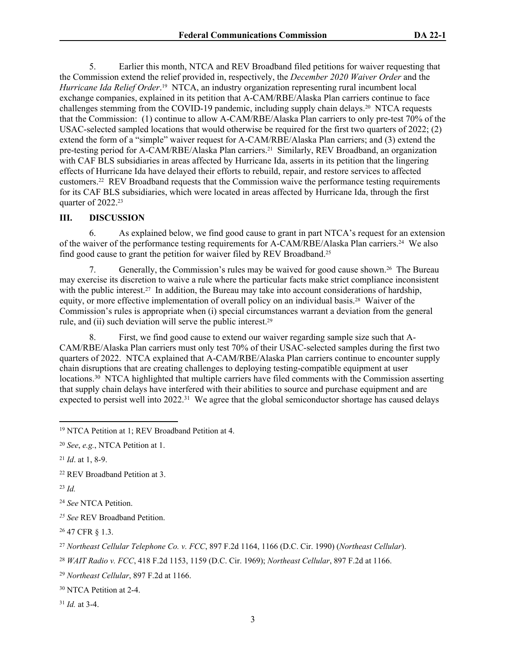5. Earlier this month, NTCA and REV Broadband filed petitions for waiver requesting that the Commission extend the relief provided in, respectively, the *December 2020 Waiver Order* and the Hurricane Ida Relief Order.<sup>19</sup> NTCA, an industry organization representing rural incumbent local exchange companies, explained in its petition that A-CAM/RBE/Alaska Plan carriers continue to face challenges stemming from the COVID-19 pandemic, including supply chain delays.20 NTCA requests that the Commission: (1) continue to allow A-CAM/RBE/Alaska Plan carriers to only pre-test 70% of the USAC-selected sampled locations that would otherwise be required for the first two quarters of 2022; (2) extend the form of a "simple" waiver request for A-CAM/RBE/Alaska Plan carriers; and (3) extend the pre-testing period for A-CAM/RBE/Alaska Plan carriers.<sup>21</sup> Similarly, REV Broadband, an organization with CAF BLS subsidiaries in areas affected by Hurricane Ida, asserts in its petition that the lingering effects of Hurricane Ida have delayed their efforts to rebuild, repair, and restore services to affected customers.22 REV Broadband requests that the Commission waive the performance testing requirements for its CAF BLS subsidiaries, which were located in areas affected by Hurricane Ida, through the first quarter of 2022.<sup>23</sup>

#### **III. DISCUSSION**

6. As explained below, we find good cause to grant in part NTCA's request for an extension of the waiver of the performance testing requirements for A-CAM/RBE/Alaska Plan carriers.24 We also find good cause to grant the petition for waiver filed by REV Broadband.<sup>25</sup>

7. Generally, the Commission's rules may be waived for good cause shown.26 The Bureau may exercise its discretion to waive a rule where the particular facts make strict compliance inconsistent with the public interest.<sup>27</sup> In addition, the Bureau may take into account considerations of hardship, equity, or more effective implementation of overall policy on an individual basis.<sup>28</sup> Waiver of the Commission's rules is appropriate when (i) special circumstances warrant a deviation from the general rule, and (ii) such deviation will serve the public interest.<sup>29</sup>

8. First, we find good cause to extend our waiver regarding sample size such that A-CAM/RBE/Alaska Plan carriers must only test 70% of their USAC-selected samples during the first two quarters of 2022. NTCA explained that A-CAM/RBE/Alaska Plan carriers continue to encounter supply chain disruptions that are creating challenges to deploying testing-compatible equipment at user locations.<sup>30</sup> NTCA highlighted that multiple carriers have filed comments with the Commission asserting that supply chain delays have interfered with their abilities to source and purchase equipment and are expected to persist well into 2022.<sup>31</sup> We agree that the global semiconductor shortage has caused delays

<sup>31</sup> *Id.* at 3-4.

<sup>19</sup> NTCA Petition at 1; REV Broadband Petition at 4.

<sup>20</sup> *See*, *e.g.*, NTCA Petition at 1.

<sup>21</sup> *Id*. at 1, 8-9.

<sup>22</sup> REV Broadband Petition at 3.

<sup>23</sup> *Id.*

<sup>24</sup> *See* NTCA Petition.

*<sup>25</sup> See* REV Broadband Petition.

<sup>26</sup> 47 CFR § 1.3.

<sup>27</sup> *Northeast Cellular Telephone Co. v. FCC*, 897 F.2d 1164, 1166 (D.C. Cir. 1990) (*Northeast Cellular*).

<sup>28</sup> *WAIT Radio v. FCC*, 418 F.2d 1153, 1159 (D.C. Cir. 1969); *Northeast Cellular*, 897 F.2d at 1166.

<sup>29</sup> *Northeast Cellular*, 897 F.2d at 1166.

<sup>30</sup> NTCA Petition at 2-4.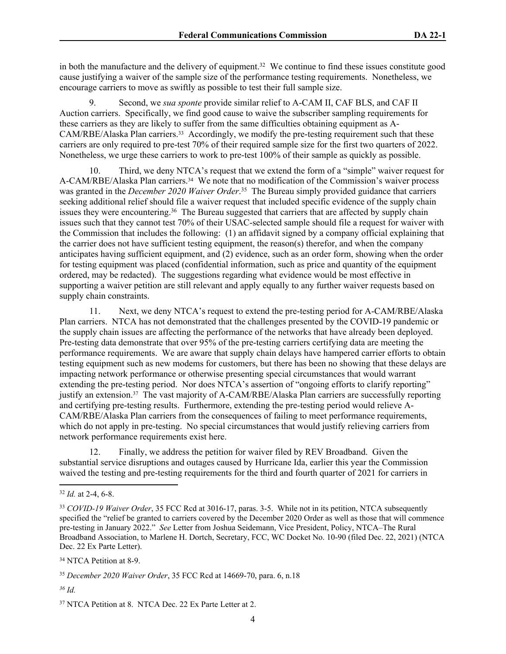in both the manufacture and the delivery of equipment.<sup>32</sup> We continue to find these issues constitute good cause justifying a waiver of the sample size of the performance testing requirements. Nonetheless, we encourage carriers to move as swiftly as possible to test their full sample size.

9. Second, we *sua sponte* provide similar relief to A-CAM II, CAF BLS, and CAF II Auction carriers. Specifically, we find good cause to waive the subscriber sampling requirements for these carriers as they are likely to suffer from the same difficulties obtaining equipment as A-CAM/RBE/Alaska Plan carriers.33 Accordingly, we modify the pre-testing requirement such that these carriers are only required to pre-test 70% of their required sample size for the first two quarters of 2022. Nonetheless, we urge these carriers to work to pre-test 100% of their sample as quickly as possible.

10. Third, we deny NTCA's request that we extend the form of a "simple" waiver request for A-CAM/RBE/Alaska Plan carriers.34 We note that no modification of the Commission's waiver process was granted in the *December 2020 Waiver Order*. <sup>35</sup> The Bureau simply provided guidance that carriers seeking additional relief should file a waiver request that included specific evidence of the supply chain issues they were encountering.<sup>36</sup> The Bureau suggested that carriers that are affected by supply chain issues such that they cannot test 70% of their USAC-selected sample should file a request for waiver with the Commission that includes the following: (1) an affidavit signed by a company official explaining that the carrier does not have sufficient testing equipment, the reason(s) therefor, and when the company anticipates having sufficient equipment, and (2) evidence, such as an order form, showing when the order for testing equipment was placed (confidential information, such as price and quantity of the equipment ordered, may be redacted). The suggestions regarding what evidence would be most effective in supporting a waiver petition are still relevant and apply equally to any further waiver requests based on supply chain constraints.

11. Next, we deny NTCA's request to extend the pre-testing period for A-CAM/RBE/Alaska Plan carriers. NTCA has not demonstrated that the challenges presented by the COVID-19 pandemic or the supply chain issues are affecting the performance of the networks that have already been deployed. Pre-testing data demonstrate that over 95% of the pre-testing carriers certifying data are meeting the performance requirements. We are aware that supply chain delays have hampered carrier efforts to obtain testing equipment such as new modems for customers, but there has been no showing that these delays are impacting network performance or otherwise presenting special circumstances that would warrant extending the pre-testing period. Nor does NTCA's assertion of "ongoing efforts to clarify reporting" justify an extension.<sup>37</sup> The vast majority of A-CAM/RBE/Alaska Plan carriers are successfully reporting and certifying pre-testing results. Furthermore, extending the pre-testing period would relieve A-CAM/RBE/Alaska Plan carriers from the consequences of failing to meet performance requirements, which do not apply in pre-testing. No special circumstances that would justify relieving carriers from network performance requirements exist here.

12. Finally, we address the petition for waiver filed by REV Broadband. Given the substantial service disruptions and outages caused by Hurricane Ida, earlier this year the Commission waived the testing and pre-testing requirements for the third and fourth quarter of 2021 for carriers in

<sup>34</sup> NTCA Petition at 8-9.

*<sup>36</sup> Id.*

<sup>32</sup> *Id.* at 2-4, 6-8.

<sup>33</sup> *COVID-19 Waiver Order*, 35 FCC Rcd at 3016-17, paras. 3-5. While not in its petition, NTCA subsequently specified the "relief be granted to carriers covered by the December 2020 Order as well as those that will commence pre-testing in January 2022." *See* Letter from Joshua Seidemann, Vice President, Policy, NTCA–The Rural Broadband Association, to Marlene H. Dortch, Secretary, FCC, WC Docket No. 10-90 (filed Dec. 22, 2021) (NTCA Dec. 22 Ex Parte Letter).

<sup>35</sup> *December 2020 Waiver Order*, 35 FCC Rcd at 14669-70, para. 6, n.18

<sup>&</sup>lt;sup>37</sup> NTCA Petition at 8. NTCA Dec. 22 Ex Parte Letter at 2.